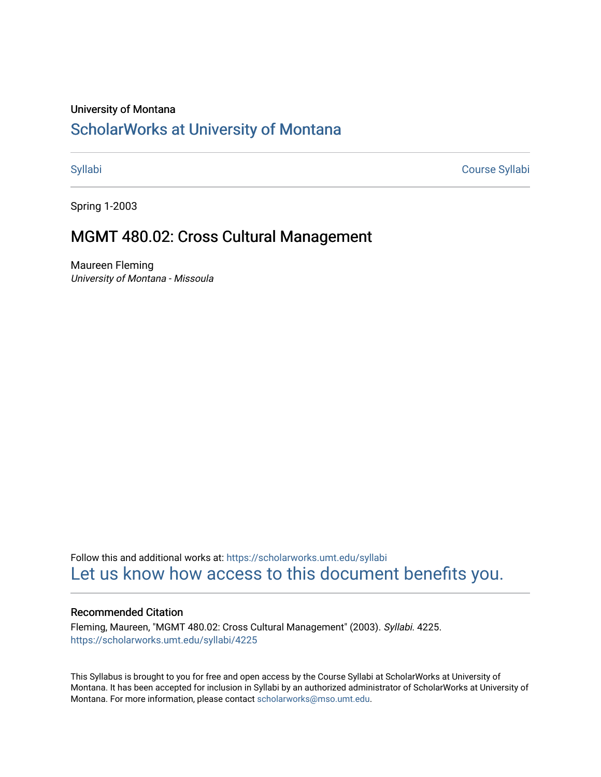#### University of Montana

# [ScholarWorks at University of Montana](https://scholarworks.umt.edu/)

[Syllabi](https://scholarworks.umt.edu/syllabi) [Course Syllabi](https://scholarworks.umt.edu/course_syllabi) 

Spring 1-2003

## MGMT 480.02: Cross Cultural Management

Maureen Fleming University of Montana - Missoula

Follow this and additional works at: [https://scholarworks.umt.edu/syllabi](https://scholarworks.umt.edu/syllabi?utm_source=scholarworks.umt.edu%2Fsyllabi%2F4225&utm_medium=PDF&utm_campaign=PDFCoverPages)  [Let us know how access to this document benefits you.](https://goo.gl/forms/s2rGfXOLzz71qgsB2) 

#### Recommended Citation

Fleming, Maureen, "MGMT 480.02: Cross Cultural Management" (2003). Syllabi. 4225. [https://scholarworks.umt.edu/syllabi/4225](https://scholarworks.umt.edu/syllabi/4225?utm_source=scholarworks.umt.edu%2Fsyllabi%2F4225&utm_medium=PDF&utm_campaign=PDFCoverPages)

This Syllabus is brought to you for free and open access by the Course Syllabi at ScholarWorks at University of Montana. It has been accepted for inclusion in Syllabi by an authorized administrator of ScholarWorks at University of Montana. For more information, please contact [scholarworks@mso.umt.edu.](mailto:scholarworks@mso.umt.edu)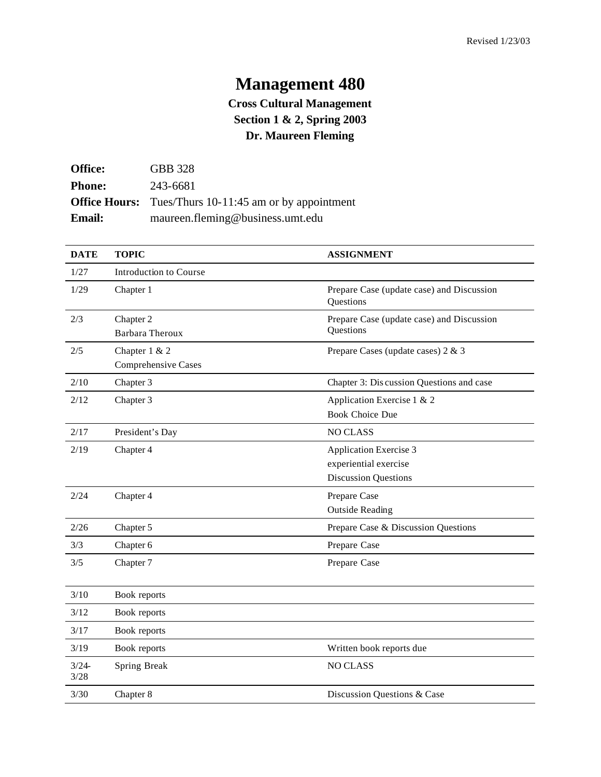# **Management 480**

## **Cross Cultural Management Section 1 & 2, Spring 2003 Dr. Maureen Fleming**

| <b>Office:</b> | <b>GBB</b> 328                                                |
|----------------|---------------------------------------------------------------|
| <b>Phone:</b>  | 243-6681                                                      |
|                | <b>Office Hours:</b> Tues/Thurs 10-11:45 am or by appointment |
| <b>Email:</b>  | maureen.fleming@business.umt.edu                              |

| <b>DATE</b>  | <b>TOPIC</b>                         | <b>ASSIGNMENT</b>                                                                     |
|--------------|--------------------------------------|---------------------------------------------------------------------------------------|
| 1/27         | <b>Introduction to Course</b>        |                                                                                       |
| 1/29         | Chapter 1                            | Prepare Case (update case) and Discussion<br>Questions                                |
| 2/3          | Chapter 2<br>Barbara Theroux         | Prepare Case (update case) and Discussion<br>Questions                                |
| 2/5          | Chapter 1 & 2<br>Comprehensive Cases | Prepare Cases (update cases) 2 & 3                                                    |
| 2/10         | Chapter 3                            | Chapter 3: Discussion Questions and case                                              |
| 2/12         | Chapter 3                            | Application Exercise 1 & 2<br><b>Book Choice Due</b>                                  |
| 2/17         | President's Day                      | <b>NO CLASS</b>                                                                       |
| 2/19         | Chapter 4                            | <b>Application Exercise 3</b><br>experiential exercise<br><b>Discussion Questions</b> |
| 2/24         | Chapter 4                            | Prepare Case<br><b>Outside Reading</b>                                                |
| 2/26         | Chapter 5                            | Prepare Case & Discussion Questions                                                   |
| 3/3          | Chapter 6                            | Prepare Case                                                                          |
| 3/5          | Chapter 7                            | Prepare Case                                                                          |
| 3/10         | Book reports                         |                                                                                       |
| 3/12         | Book reports                         |                                                                                       |
| 3/17         | Book reports                         |                                                                                       |
| 3/19         | Book reports                         | Written book reports due                                                              |
| 3/24<br>3/28 | Spring Break                         | <b>NO CLASS</b>                                                                       |
| 3/30         | Chapter 8                            | Discussion Questions & Case                                                           |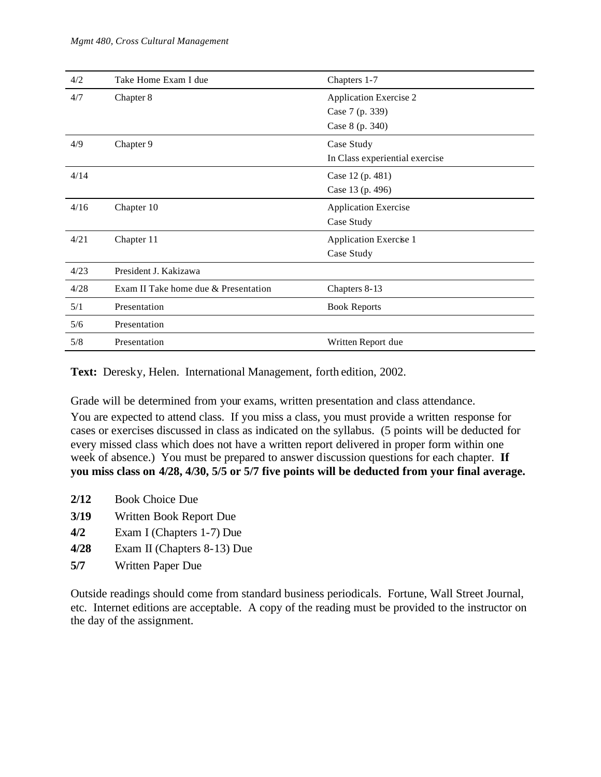| 4/2  | Take Home Exam I due                 | Chapters 1-7                   |
|------|--------------------------------------|--------------------------------|
| 4/7  | Chapter 8                            | <b>Application Exercise 2</b>  |
|      |                                      | Case 7 (p. 339)                |
|      |                                      | Case 8 (p. 340)                |
| 4/9  | Chapter 9                            | Case Study                     |
|      |                                      | In Class experiential exercise |
| 4/14 |                                      | Case 12 (p. 481)               |
|      |                                      | Case 13 (p. 496)               |
| 4/16 | Chapter 10                           | <b>Application Exercise</b>    |
|      |                                      | Case Study                     |
| 4/21 | Chapter 11                           | <b>Application Exercise 1</b>  |
|      |                                      | Case Study                     |
| 4/23 | President J. Kakizawa                |                                |
| 4/28 | Exam II Take home due & Presentation | Chapters 8-13                  |
| 5/1  | Presentation                         | <b>Book Reports</b>            |
| 5/6  | Presentation                         |                                |
| 5/8  | Presentation                         | Written Report due             |

**Text:** Deresky, Helen. International Management, forth edition, 2002.

Grade will be determined from your exams, written presentation and class attendance.

You are expected to attend class. If you miss a class, you must provide a written response for cases or exercises discussed in class as indicated on the syllabus. (5 points will be deducted for every missed class which does not have a written report delivered in proper form within one week of absence.) You must be prepared to answer discussion questions for each chapter. **If you miss class on 4/28, 4/30, 5/5 or 5/7 five points will be deducted from your final average.** 

- **2/12** Book Choice Due
- **3/19** Written Book Report Due
- **4/2** Exam I (Chapters 1-7) Due
- **4/28** Exam II (Chapters 8-13) Due
- **5/7** Written Paper Due

Outside readings should come from standard business periodicals. Fortune, Wall Street Journal, etc. Internet editions are acceptable. A copy of the reading must be provided to the instructor on the day of the assignment.